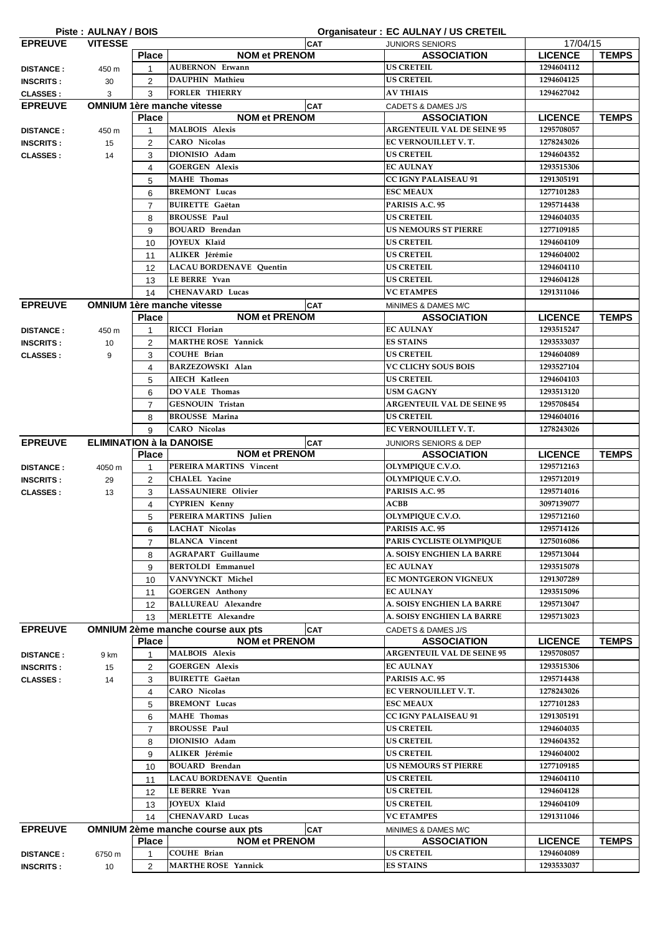|                                      | Piste: AULNAY / BOIS            |                     |                                                        | Organisateur: EC AULNAY / US CRETEIL   |                          |              |
|--------------------------------------|---------------------------------|---------------------|--------------------------------------------------------|----------------------------------------|--------------------------|--------------|
| <b>EPREUVE</b>                       | <b>VITESSE</b>                  |                     | CAT                                                    | <b>JUNIORS SENIORS</b>                 | 17/04/15                 |              |
|                                      |                                 | <b>Place</b>        | <b>NOM et PRENOM</b>                                   | <b>ASSOCIATION</b>                     | <b>LICENCE</b>           | <b>TEMPS</b> |
| <b>DISTANCE:</b>                     | 450 m                           | $\mathbf{1}$        | <b>AUBERNON Erwann</b>                                 | <b>US CRETEIL</b>                      | 1294604112               |              |
| <b>INSCRITS:</b>                     | 30                              | 2                   | DAUPHIN Mathieu                                        | <b>US CRETEIL</b>                      | 1294604125               |              |
| <b>CLASSES:</b>                      | 3                               | 3                   | <b>FORLER THIERRY</b>                                  | <b>AV THIAIS</b>                       | 1294627042               |              |
| <b>EPREUVE</b>                       |                                 |                     | <b>OMNIUM 1ère manche vitesse</b><br><b>CAT</b>        | <b>CADETS &amp; DAMES J/S</b>          |                          |              |
|                                      |                                 | <b>Place</b>        | <b>NOM et PRENOM</b>                                   | <b>ASSOCIATION</b>                     | <b>LICENCE</b>           | <b>TEMPS</b> |
| <b>DISTANCE:</b>                     | 450 m                           | $\mathbf{1}$        | <b>MALBOIS Alexis</b>                                  | <b>ARGENTEUIL VAL DE SEINE 95</b>      | 1295708057               |              |
| <b>INSCRITS:</b>                     | 15                              | 2                   | <b>CARO</b> Nicolas                                    | EC VERNOUILLET V.T.                    | 1278243026               |              |
| <b>CLASSES:</b>                      | 14                              | 3                   | DIONISIO Adam                                          | <b>US CRETEIL</b>                      | 1294604352               |              |
|                                      |                                 | $\overline{4}$      | <b>GOERGEN Alexis</b>                                  | <b>EC AULNAY</b>                       | 1293515306               |              |
|                                      |                                 | 5                   | <b>MAHE</b> Thomas                                     | <b>CC IGNY PALAISEAU 91</b>            | 1291305191               |              |
|                                      |                                 | 6                   | <b>BREMONT Lucas</b>                                   | <b>ESC MEAUX</b>                       | 1277101283               |              |
|                                      |                                 | 7                   | <b>BUIRETTE</b> Gaëtan                                 | PARISIS A.C. 95                        | 1295714438               |              |
|                                      |                                 | 8                   | <b>BROUSSE Paul</b>                                    | <b>US CRETEIL</b>                      | 1294604035               |              |
|                                      |                                 | 9                   | <b>BOUARD</b> Brendan                                  | <b>US NEMOURS ST PIERRE</b>            | 1277109185               |              |
|                                      |                                 | 10                  | <b>JOYEUX Klaïd</b>                                    | <b>US CRETEIL</b>                      | 1294604109               |              |
|                                      |                                 | 11                  | ALIKER Jérémie                                         | <b>US CRETEIL</b>                      | 1294604002               |              |
|                                      |                                 | 12                  | <b>LACAU BORDENAVE Quentin</b>                         | <b>US CRETEIL</b>                      | 1294604110               |              |
|                                      |                                 | 13                  | LE BERRE Yvan                                          | <b>US CRETEIL</b>                      | 1294604128               |              |
|                                      |                                 | 14                  | <b>CHENAVARD Lucas</b>                                 | <b>VC ETAMPES</b>                      | 1291311046               |              |
| <b>EPREUVE</b>                       |                                 |                     | <b>OMNIUM 1ère manche vitesse</b><br><b>CAT</b>        | MINIMES & DAMES M/C                    |                          |              |
|                                      |                                 | <b>Place</b>        | <b>NOM et PRENOM</b>                                   | <b>ASSOCIATION</b>                     | <b>LICENCE</b>           | <b>TEMPS</b> |
| <b>DISTANCE:</b>                     | 450 m                           | 1                   | RICCI Florian                                          | <b>EC AULNAY</b>                       | 1293515247               |              |
| <b>INSCRITS:</b>                     | 10                              | 2                   | <b>MARTHE ROSE Yannick</b>                             | <b>ES STAINS</b>                       | 1293533037               |              |
| <b>CLASSES:</b>                      | 9                               | 3                   | <b>COUHE Brian</b>                                     | <b>US CRETEIL</b>                      | 1294604089               |              |
|                                      |                                 | 4                   | BARZEZOWSKI Alan                                       | <b>VC CLICHY SOUS BOIS</b>             | 1293527104               |              |
|                                      |                                 | 5                   | AIECH Katleen                                          | <b>US CRETEIL</b>                      | 1294604103               |              |
|                                      |                                 | 6                   | DO VALE Thomas                                         | <b>USM GAGNY</b>                       | 1293513120               |              |
|                                      |                                 | 7                   | <b>GESNOUIN Tristan</b>                                | <b>ARGENTEUIL VAL DE SEINE 95</b>      | 1295708454               |              |
|                                      |                                 | 8                   | <b>BROUSSE Marina</b>                                  | <b>US CRETEIL</b>                      | 1294604016               |              |
|                                      |                                 | 9                   | <b>CARO</b> Nicolas                                    | EC VERNOUILLET V.T.                    | 1278243026               |              |
| <b>EPREUVE</b>                       | <b>ELIMINATION à la DANOISE</b> |                     | <b>CAT</b>                                             | JUNIORS SENIORS & DEP                  |                          |              |
|                                      |                                 | <b>Place</b>        | <b>NOM et PRENOM</b>                                   | <b>ASSOCIATION</b>                     | <b>LICENCE</b>           | <b>TEMPS</b> |
| <b>DISTANCE:</b>                     | 4050 m                          | 1                   | PEREIRA MARTINS Vincent                                | OLYMPIQUE C.V.O.                       | 1295712163               |              |
| <b>INSCRITS:</b>                     | 29                              | 2                   | <b>CHALEL Yacine</b>                                   | OLYMPIQUE C.V.O.                       | 1295712019               |              |
| <b>CLASSES:</b>                      | 13                              | 3                   | <b>LASSAUNIERE Olivier</b>                             | PARISIS A.C. 95                        | 1295714016               |              |
|                                      |                                 | 4                   | <b>CYPRIEN Kenny</b>                                   | ACBB                                   | 3097139077               |              |
|                                      |                                 |                     | PEREIRA MARTINS Julien                                 |                                        |                          |              |
|                                      |                                 | 5                   |                                                        | OLYMPIQUE C.V.O.                       | 1295712160               |              |
|                                      |                                 | 6                   | <b>LACHAT Nicolas</b>                                  | PARISIS A.C. 95                        | 1295714126               |              |
|                                      |                                 | 7                   | <b>BLANCA Vincent</b>                                  | PARIS CYCLISTE OLYMPIQUE               | 1275016086               |              |
|                                      |                                 | 8                   | <b>AGRAPART Guillaume</b>                              | A. SOISY ENGHIEN LA BARRE              | 1295713044               |              |
|                                      |                                 | 9                   | <b>BERTOLDI Emmanuel</b>                               | <b>EC AULNAY</b>                       | 1293515078               |              |
|                                      |                                 | 10                  | VANVYNCKT Michel                                       | EC MONTGERON VIGNEUX                   | 1291307289               |              |
|                                      |                                 | 11                  | <b>GOERGEN Anthony</b>                                 | <b>EC AULNAY</b>                       | 1293515096               |              |
|                                      |                                 | 12                  | <b>BALLUREAU Alexandre</b>                             | <b>A. SOISY ENGHIEN LA BARRE</b>       | 1295713047               |              |
|                                      |                                 | 13                  | <b>MERLETTE Alexandre</b>                              | A. SOISY ENGHIEN LA BARRE              | 1295713023               |              |
| <b>EPREUVE</b>                       |                                 |                     | <b>OMNIUM 2ème manche course aux pts</b><br><b>CAT</b> | CADETS & DAMES J/S                     |                          |              |
|                                      |                                 | <b>Place</b>        | <b>NOM et PRENOM</b>                                   | <b>ASSOCIATION</b>                     | <b>LICENCE</b>           | <b>TEMPS</b> |
| <b>DISTANCE:</b>                     | 9 km                            | 1                   | <b>MALBOIS Alexis</b>                                  | <b>ARGENTEUIL VAL DE SEINE 95</b>      | 1295708057               |              |
| <b>INSCRITS:</b>                     | 15                              | 2                   | <b>GOERGEN Alexis</b>                                  | <b>EC AULNAY</b>                       | 1293515306               |              |
| <b>CLASSES:</b>                      | 14                              | 3                   | <b>BUIRETTE Gaëtan</b><br><b>CARO</b> Nicolas          | PARISIS A.C. 95<br>EC VERNOUILLET V.T. | 1295714438<br>1278243026 |              |
|                                      |                                 | 4                   | <b>BREMONT Lucas</b>                                   | <b>ESC MEAUX</b>                       | 1277101283               |              |
|                                      |                                 | 5<br>6              | <b>MAHE</b> Thomas                                     | <b>CC IGNY PALAISEAU 91</b>            | 1291305191               |              |
|                                      |                                 | $\overline{7}$      | <b>BROUSSE Paul</b>                                    | <b>US CRETEIL</b>                      | 1294604035               |              |
|                                      |                                 | 8                   | DIONISIO Adam                                          | <b>US CRETEIL</b>                      | 1294604352               |              |
|                                      |                                 | 9                   | ALIKER Jérémie                                         | <b>US CRETEIL</b>                      | 1294604002               |              |
|                                      |                                 | 10                  | <b>BOUARD</b> Brendan                                  | <b>US NEMOURS ST PIERRE</b>            | 1277109185               |              |
|                                      |                                 | 11                  | <b>LACAU BORDENAVE Quentin</b>                         | <b>US CRETEIL</b>                      | 1294604110               |              |
|                                      |                                 | 12                  | LE BERRE Yvan                                          | <b>US CRETEIL</b>                      | 1294604128               |              |
|                                      |                                 | 13                  | JOYEUX Klaïd                                           | <b>US CRETEIL</b>                      | 1294604109               |              |
|                                      |                                 | 14                  | <b>CHENAVARD Lucas</b>                                 | <b>VC ETAMPES</b>                      | 1291311046               |              |
| <b>EPREUVE</b>                       |                                 |                     | <b>OMNIUM 2ème manche course aux pts</b><br><b>CAT</b> | MINIMES & DAMES M/C                    |                          |              |
|                                      |                                 | <b>Place</b>        | <b>NOM et PRENOM</b>                                   | <b>ASSOCIATION</b>                     | <b>LICENCE</b>           | <b>TEMPS</b> |
| <b>DISTANCE:</b><br><b>INSCRITS:</b> | 6750 m<br>10                    | 1<br>$\overline{2}$ | <b>COUHE Brian</b><br><b>MARTHE ROSE Yannick</b>       | <b>US CRETEIL</b><br><b>ES STAINS</b>  | 1294604089<br>1293533037 |              |